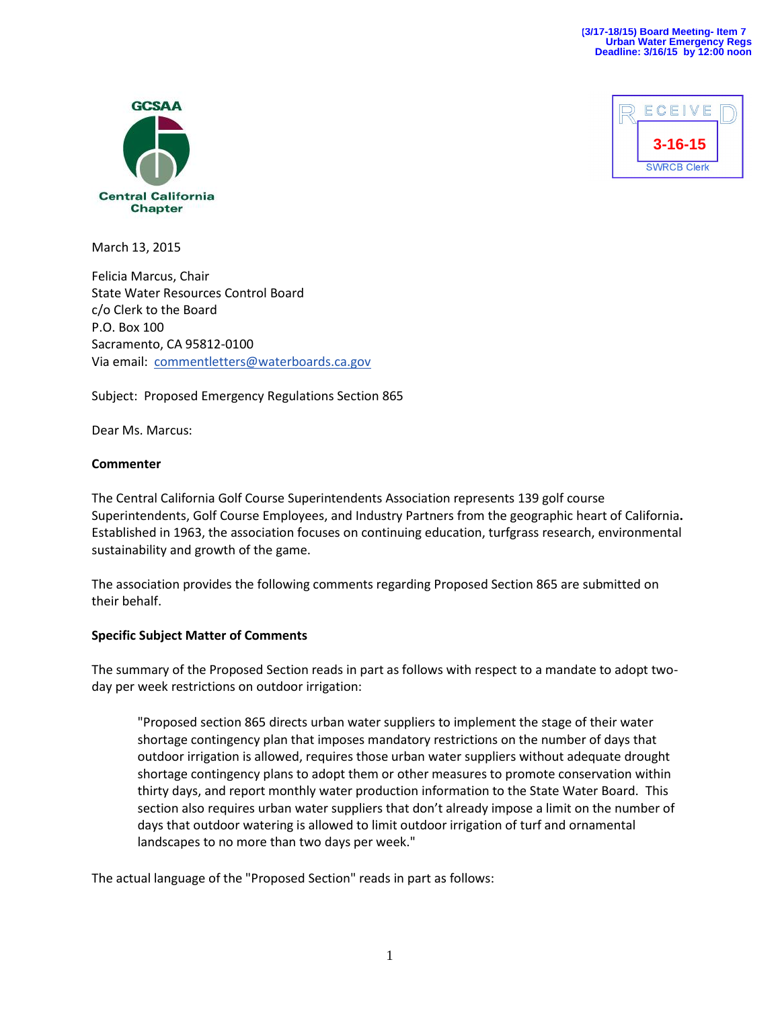



March 13, 2015

Felicia Marcus, Chair State Water Resources Control Board c/o Clerk to the Board P.O. Box 100 Sacramento, CA 95812-0100 Via email: [commentletters@waterboards.ca.gov](mailto:commentletters@waterboards.ca.gov)

Subject: Proposed Emergency Regulations Section 865

Dear Ms. Marcus:

#### **Commenter**

The Central California Golf Course Superintendents Association represents 139 golf course Superintendents, Golf Course Employees, and Industry Partners from the geographic heart of California**.** Established in 1963, the association focuses on continuing education, turfgrass research, environmental sustainability and growth of the game.

The association provides the following comments regarding Proposed Section 865 are submitted on their behalf.

## **Specific Subject Matter of Comments**

The summary of the Proposed Section reads in part as follows with respect to a mandate to adopt twoday per week restrictions on outdoor irrigation:

"Proposed section 865 directs urban water suppliers to implement the stage of their water shortage contingency plan that imposes mandatory restrictions on the number of days that outdoor irrigation is allowed, requires those urban water suppliers without adequate drought shortage contingency plans to adopt them or other measures to promote conservation within thirty days, and report monthly water production information to the State Water Board. This section also requires urban water suppliers that don't already impose a limit on the number of days that outdoor watering is allowed to limit outdoor irrigation of turf and ornamental landscapes to no more than two days per week."

The actual language of the "Proposed Section" reads in part as follows: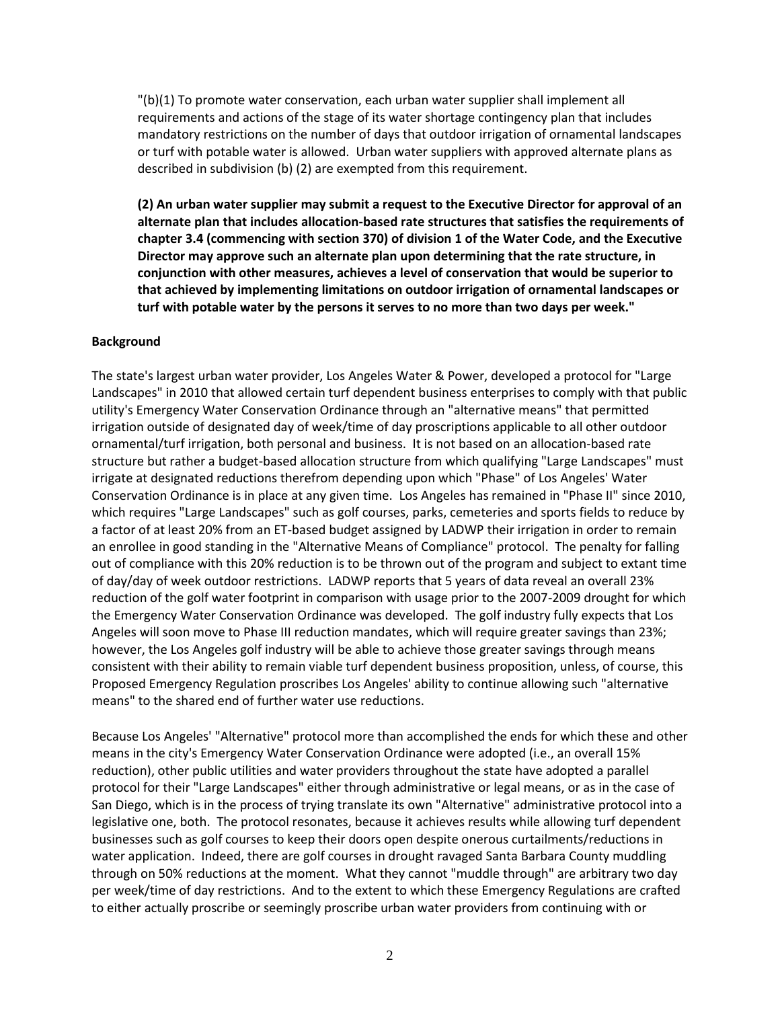"(b)(1) To promote water conservation, each urban water supplier shall implement all requirements and actions of the stage of its water shortage contingency plan that includes mandatory restrictions on the number of days that outdoor irrigation of ornamental landscapes or turf with potable water is allowed. Urban water suppliers with approved alternate plans as described in subdivision (b) (2) are exempted from this requirement.

**(2) An urban water supplier may submit a request to the Executive Director for approval of an alternate plan that includes allocation-based rate structures that satisfies the requirements of chapter 3.4 (commencing with section 370) of division 1 of the Water Code, and the Executive Director may approve such an alternate plan upon determining that the rate structure, in conjunction with other measures, achieves a level of conservation that would be superior to that achieved by implementing limitations on outdoor irrigation of ornamental landscapes or turf with potable water by the persons it serves to no more than two days per week."**

#### **Background**

The state's largest urban water provider, Los Angeles Water & Power, developed a protocol for "Large Landscapes" in 2010 that allowed certain turf dependent business enterprises to comply with that public utility's Emergency Water Conservation Ordinance through an "alternative means" that permitted irrigation outside of designated day of week/time of day proscriptions applicable to all other outdoor ornamental/turf irrigation, both personal and business. It is not based on an allocation-based rate structure but rather a budget-based allocation structure from which qualifying "Large Landscapes" must irrigate at designated reductions therefrom depending upon which "Phase" of Los Angeles' Water Conservation Ordinance is in place at any given time. Los Angeles has remained in "Phase II" since 2010, which requires "Large Landscapes" such as golf courses, parks, cemeteries and sports fields to reduce by a factor of at least 20% from an ET-based budget assigned by LADWP their irrigation in order to remain an enrollee in good standing in the "Alternative Means of Compliance" protocol. The penalty for falling out of compliance with this 20% reduction is to be thrown out of the program and subject to extant time of day/day of week outdoor restrictions. LADWP reports that 5 years of data reveal an overall 23% reduction of the golf water footprint in comparison with usage prior to the 2007-2009 drought for which the Emergency Water Conservation Ordinance was developed. The golf industry fully expects that Los Angeles will soon move to Phase III reduction mandates, which will require greater savings than 23%; however, the Los Angeles golf industry will be able to achieve those greater savings through means consistent with their ability to remain viable turf dependent business proposition, unless, of course, this Proposed Emergency Regulation proscribes Los Angeles' ability to continue allowing such "alternative means" to the shared end of further water use reductions.

Because Los Angeles' "Alternative" protocol more than accomplished the ends for which these and other means in the city's Emergency Water Conservation Ordinance were adopted (i.e., an overall 15% reduction), other public utilities and water providers throughout the state have adopted a parallel protocol for their "Large Landscapes" either through administrative or legal means, or as in the case of San Diego, which is in the process of trying translate its own "Alternative" administrative protocol into a legislative one, both. The protocol resonates, because it achieves results while allowing turf dependent businesses such as golf courses to keep their doors open despite onerous curtailments/reductions in water application. Indeed, there are golf courses in drought ravaged Santa Barbara County muddling through on 50% reductions at the moment. What they cannot "muddle through" are arbitrary two day per week/time of day restrictions. And to the extent to which these Emergency Regulations are crafted to either actually proscribe or seemingly proscribe urban water providers from continuing with or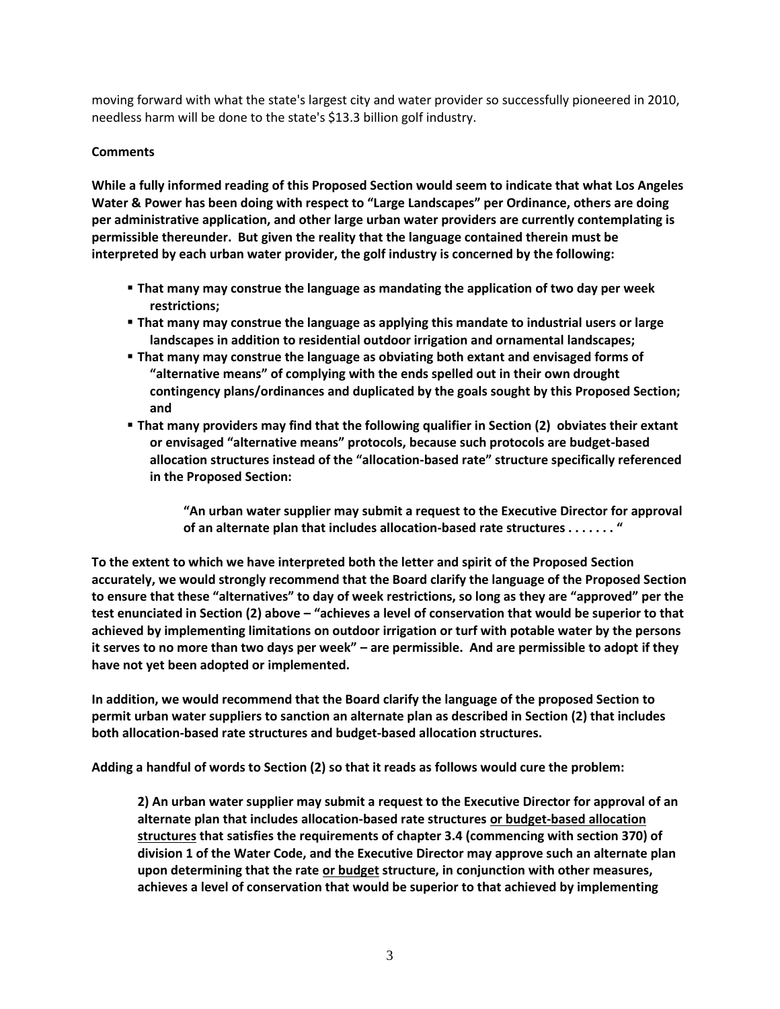moving forward with what the state's largest city and water provider so successfully pioneered in 2010, needless harm will be done to the state's \$13.3 billion golf industry.

# **Comments**

**While a fully informed reading of this Proposed Section would seem to indicate that what Los Angeles Water & Power has been doing with respect to "Large Landscapes" per Ordinance, others are doing per administrative application, and other large urban water providers are currently contemplating is permissible thereunder. But given the reality that the language contained therein must be interpreted by each urban water provider, the golf industry is concerned by the following:**

- **That many may construe the language as mandating the application of two day per week restrictions;**
- **That many may construe the language as applying this mandate to industrial users or large landscapes in addition to residential outdoor irrigation and ornamental landscapes;**
- **That many may construe the language as obviating both extant and envisaged forms of "alternative means" of complying with the ends spelled out in their own drought contingency plans/ordinances and duplicated by the goals sought by this Proposed Section; and**
- **That many providers may find that the following qualifier in Section (2) obviates their extant or envisaged "alternative means" protocols, because such protocols are budget-based allocation structures instead of the "allocation-based rate" structure specifically referenced in the Proposed Section:**

**"An urban water supplier may submit a request to the Executive Director for approval of an alternate plan that includes allocation-based rate structures . . . . . . . "**

**To the extent to which we have interpreted both the letter and spirit of the Proposed Section accurately, we would strongly recommend that the Board clarify the language of the Proposed Section to ensure that these "alternatives" to day of week restrictions, so long as they are "approved" per the test enunciated in Section (2) above – "achieves a level of conservation that would be superior to that achieved by implementing limitations on outdoor irrigation or turf with potable water by the persons it serves to no more than two days per week" – are permissible. And are permissible to adopt if they have not yet been adopted or implemented.** 

**In addition, we would recommend that the Board clarify the language of the proposed Section to permit urban water suppliers to sanction an alternate plan as described in Section (2) that includes both allocation-based rate structures and budget-based allocation structures.** 

**Adding a handful of words to Section (2) so that it reads as follows would cure the problem:**

**2) An urban water supplier may submit a request to the Executive Director for approval of an alternate plan that includes allocation-based rate structures or budget-based allocation structures that satisfies the requirements of chapter 3.4 (commencing with section 370) of division 1 of the Water Code, and the Executive Director may approve such an alternate plan upon determining that the rate or budget structure, in conjunction with other measures, achieves a level of conservation that would be superior to that achieved by implementing**